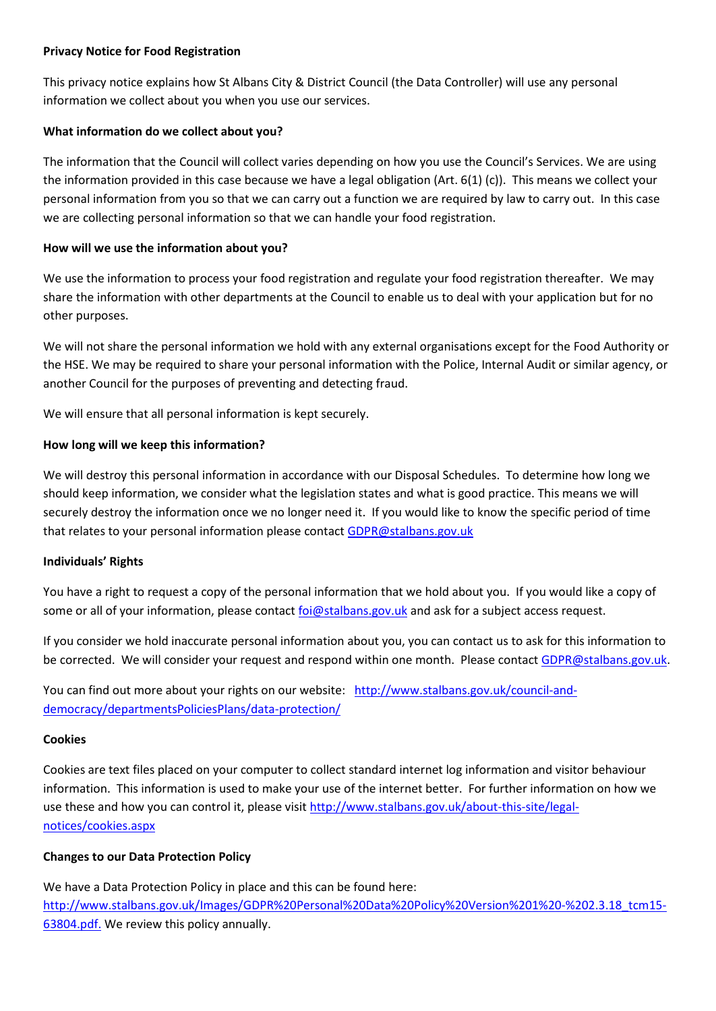### **Privacy Notice for Food Registration**

This privacy notice explains how St Albans City & District Council (the Data Controller) will use any personal information we collect about you when you use our services.

## **What information do we collect about you?**

The information that the Council will collect varies depending on how you use the Council's Services. We are using the information provided in this case because we have a legal obligation (Art.  $6(1)$  (c)). This means we collect your personal information from you so that we can carry out a function we are required by law to carry out. In this case we are collecting personal information so that we can handle your food registration.

## **How will we use the information about you?**

We use the information to process your food registration and regulate your food registration thereafter. We may share the information with other departments at the Council to enable us to deal with your application but for no other purposes.

We will not share the personal information we hold with any external organisations except for the Food Authority or the HSE. We may be required to share your personal information with the Police, Internal Audit or similar agency, or another Council for the purposes of preventing and detecting fraud.

We will ensure that all personal information is kept securely.

# **How long will we keep this information?**

We will destroy this personal information in accordance with our Disposal Schedules. To determine how long we should keep information, we consider what the legislation states and what is good practice. This means we will securely destroy the information once we no longer need it. If you would like to know the specific period of time that relates to your personal information please contact [GDPR@stalbans.gov.uk](mailto:GDPR@stalbans.gov.uk)

# **Individuals' Rights**

You have a right to request a copy of the personal information that we hold about you. If you would like a copy of some or all of your information, please contact [foi@stalbans.gov.uk](mailto:foi@stalbans.gov.uk) and ask for a subject access request.

If you consider we hold inaccurate personal information about you, you can contact us to ask for this information to be corrected. We will consider your request and respond within one month. Please contact [GDPR@stalbans.gov.uk.](mailto:GDPR@stalbans.gov.uk)

You can find out more about your rights on our website: [http://www.stalbans.gov.uk/council-and](http://www.stalbans.gov.uk/council-and-democracy/departmentsPoliciesPlans/data-protection/)[democracy/departmentsPoliciesPlans/data-protection/](http://www.stalbans.gov.uk/council-and-democracy/departmentsPoliciesPlans/data-protection/)

#### **Cookies**

Cookies are text files placed on your computer to collect standard internet log information and visitor behaviour information. This information is used to make your use of the internet better. For further information on how we use these and how you can control it, please visi[t http://www.stalbans.gov.uk/about-this-site/legal](http://www.stalbans.gov.uk/about-this-site/legal-notices/cookies.aspx)[notices/cookies.aspx](http://www.stalbans.gov.uk/about-this-site/legal-notices/cookies.aspx)

# **Changes to our Data Protection Policy**

We have a Data Protection Policy in place and this can be found here: [http://www.stalbans.gov.uk/Images/GDPR%20Personal%20Data%20Policy%20Version%201%20-%202.3.18\\_tcm15-](http://www.stalbans.gov.uk/Images/GDPR%20Personal%20Data%20Policy%20Version%201%20-%202.3.18_tcm15-63804.pdf) [63804.pdf.](http://www.stalbans.gov.uk/Images/GDPR%20Personal%20Data%20Policy%20Version%201%20-%202.3.18_tcm15-63804.pdf) We review this policy annually.